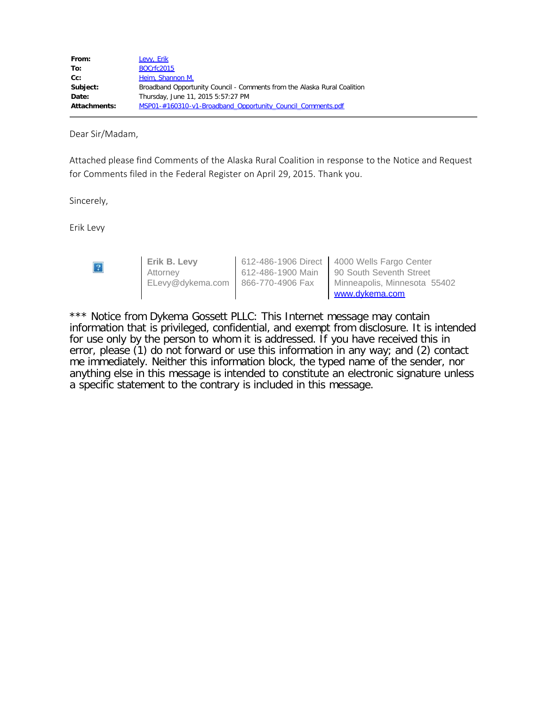| Levy, Erik                                                               |  |  |
|--------------------------------------------------------------------------|--|--|
| <b>BOCrfc2015</b>                                                        |  |  |
| Heim, Shannon M.                                                         |  |  |
| Broadband Opportunity Council - Comments from the Alaska Rural Coalition |  |  |
| Thursday, June 11, 2015 5:57:27 PM                                       |  |  |
| MSP01-#160310-v1-Broadband Opportunity Council Comments.pdf              |  |  |
|                                                                          |  |  |

Dear Sir/Madam,

Attached please find Comments of the Alaska Rural Coalition in response to the Notice and Request for Comments filed in the Federal Register on April 29, 2015. Thank you.

Sincerely,

Erik Levy

| $\overline{?}$ | Erik B. Levv                      | 612-486-1906 Direct   4000 Wells Fargo Center |
|----------------|-----------------------------------|-----------------------------------------------|
|                | Attorney                          | 612-486-1900 Main 90 South Seventh Street     |
|                | ELevy@dykema.com 866-770-4906 Fax | Minneapolis, Minnesota 55402                  |
|                |                                   | www.dykema.com                                |

\*\*\* Notice from Dykema Gossett PLLC: This Internet message may contain information that is privileged, confidential, and exempt from disclosure. It is intended for use only by the person to whom it is addressed. If you have received this in error, please (1) do not forward or use this information in any way; and (2) contact me immediately. Neither this information block, the typed name of the sender, nor anything else in this message is intended to constitute an electronic signature unless a specific statement to the contrary is included in this message.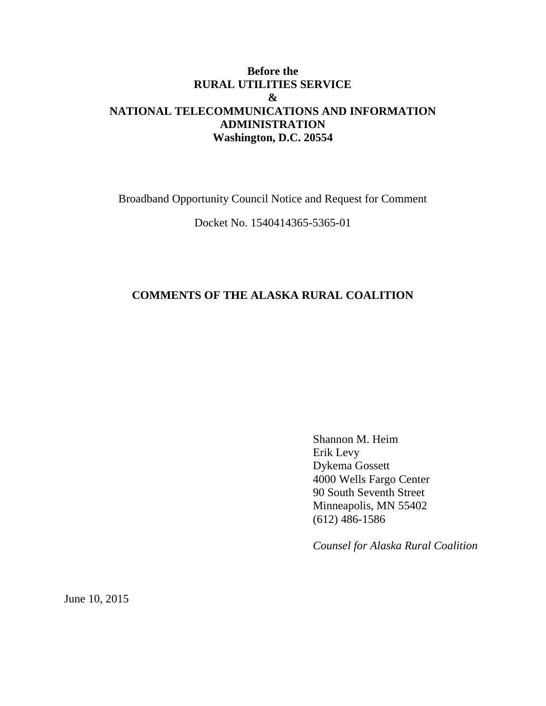## **Before the RURAL UTILITIES SERVICE & NATIONAL TELECOMMUNICATIONS AND INFORMATION ADMINISTRATION Washington, D.C. 20554**

Broadband Opportunity Council Notice and Request for Comment

Docket No. 1540414365-5365-01

## **COMMENTS OF THE ALASKA RURAL COALITION**

Shannon M. Heim Erik Levy Dykema Gossett 4000 Wells Fargo Center 90 South Seventh Street Minneapolis, MN 55402 (612) 486-1586

*Counsel for Alaska Rural Coalition*

June 10, 2015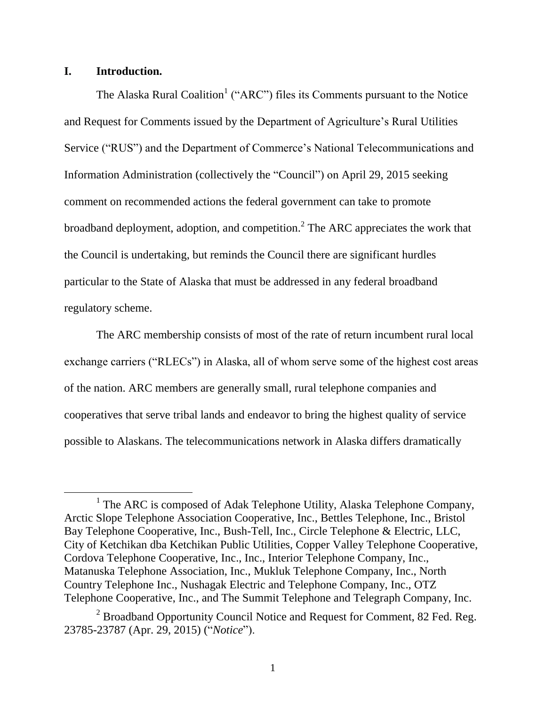## **I. Introduction.**

 $\overline{a}$ 

The Alaska Rural Coalition<sup>1</sup> ("ARC") files its Comments pursuant to the Notice and Request for Comments issued by the Department of Agriculture's Rural Utilities Service ("RUS") and the Department of Commerce's National Telecommunications and Information Administration (collectively the "Council") on April 29, 2015 seeking comment on recommended actions the federal government can take to promote broadband deployment, adoption, and competition.<sup>2</sup> The ARC appreciates the work that the Council is undertaking, but reminds the Council there are significant hurdles particular to the State of Alaska that must be addressed in any federal broadband regulatory scheme.

The ARC membership consists of most of the rate of return incumbent rural local exchange carriers ("RLECs") in Alaska, all of whom serve some of the highest cost areas of the nation. ARC members are generally small, rural telephone companies and cooperatives that serve tribal lands and endeavor to bring the highest quality of service possible to Alaskans. The telecommunications network in Alaska differs dramatically

<sup>&</sup>lt;sup>1</sup> The ARC is composed of Adak Telephone Utility, Alaska Telephone Company, Arctic Slope Telephone Association Cooperative, Inc., Bettles Telephone, Inc., Bristol Bay Telephone Cooperative, Inc., Bush-Tell, Inc., Circle Telephone & Electric, LLC, City of Ketchikan dba Ketchikan Public Utilities, Copper Valley Telephone Cooperative, Cordova Telephone Cooperative, Inc., Inc., Interior Telephone Company, Inc., Matanuska Telephone Association, Inc., Mukluk Telephone Company, Inc., North Country Telephone Inc., Nushagak Electric and Telephone Company, Inc., OTZ Telephone Cooperative, Inc., and The Summit Telephone and Telegraph Company, Inc.

<sup>&</sup>lt;sup>2</sup> Broadband Opportunity Council Notice and Request for Comment, 82 Fed. Reg. 23785-23787 (Apr. 29, 2015) ("*Notice*").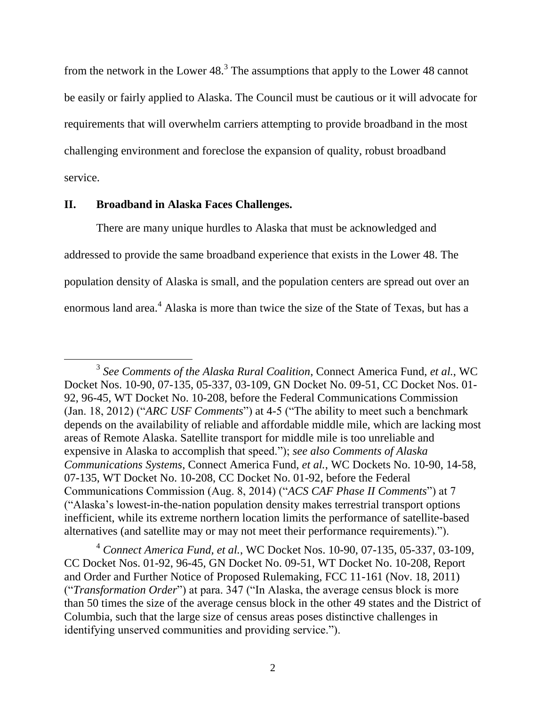from the network in the Lower 48. $3$  The assumptions that apply to the Lower 48 cannot be easily or fairly applied to Alaska. The Council must be cautious or it will advocate for requirements that will overwhelm carriers attempting to provide broadband in the most challenging environment and foreclose the expansion of quality, robust broadband service.

#### **II. Broadband in Alaska Faces Challenges.**

 $\overline{a}$ 

There are many unique hurdles to Alaska that must be acknowledged and addressed to provide the same broadband experience that exists in the Lower 48. The population density of Alaska is small, and the population centers are spread out over an enormous land area.<sup>4</sup> Alaska is more than twice the size of the State of Texas, but has a

<sup>4</sup> *Connect America Fund, et al.*, WC Docket Nos. 10-90, 07-135, 05-337, 03-109, CC Docket Nos. 01-92, 96-45, GN Docket No. 09-51, WT Docket No. 10-208, Report and Order and Further Notice of Proposed Rulemaking, FCC 11-161 (Nov. 18, 2011) ("*Transformation Order*") at para. 347 ("In Alaska, the average census block is more than 50 times the size of the average census block in the other 49 states and the District of Columbia, such that the large size of census areas poses distinctive challenges in identifying unserved communities and providing service.").

<sup>3</sup> *See Comments of the Alaska Rural Coalition*, Connect America Fund, *et al.*, WC Docket Nos. 10-90, 07-135, 05-337, 03-109, GN Docket No. 09-51, CC Docket Nos. 01- 92, 96-45, WT Docket No. 10-208, before the Federal Communications Commission (Jan. 18, 2012) ("*ARC USF Comments*") at 4-5 ("The ability to meet such a benchmark depends on the availability of reliable and affordable middle mile, which are lacking most areas of Remote Alaska. Satellite transport for middle mile is too unreliable and expensive in Alaska to accomplish that speed."); *see also Comments of Alaska Communications Systems*, Connect America Fund, *et al.*, WC Dockets No. 10-90, 14-58, 07-135, WT Docket No. 10-208, CC Docket No. 01-92, before the Federal Communications Commission (Aug. 8, 2014) ("*ACS CAF Phase II Comments*") at 7 ("Alaska's lowest-in-the-nation population density makes terrestrial transport options inefficient, while its extreme northern location limits the performance of satellite-based alternatives (and satellite may or may not meet their performance requirements).").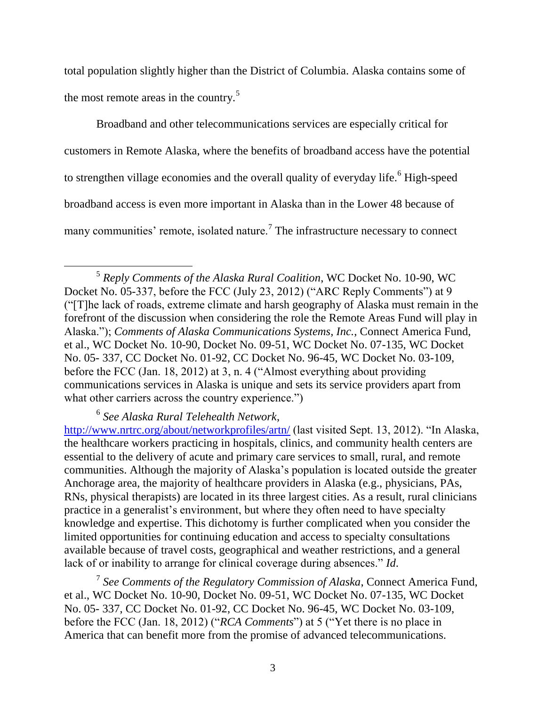total population slightly higher than the District of Columbia. Alaska contains some of the most remote areas in the country.<sup>5</sup>

Broadband and other telecommunications services are especially critical for customers in Remote Alaska, where the benefits of broadband access have the potential to strengthen village economies and the overall quality of everyday life.<sup>6</sup> High-speed broadband access is even more important in Alaska than in the Lower 48 because of many communities' remote, isolated nature.<sup>7</sup> The infrastructure necessary to connect

# 6 *See Alaska Rural Telehealth Network*,

 $\overline{a}$ 

<http://www.nrtrc.org/about/networkprofiles/artn/> (last visited Sept. 13, 2012). "In Alaska, the healthcare workers practicing in hospitals, clinics, and community health centers are essential to the delivery of acute and primary care services to small, rural, and remote communities. Although the majority of Alaska's population is located outside the greater Anchorage area, the majority of healthcare providers in Alaska (e.g., physicians, PAs, RNs, physical therapists) are located in its three largest cities. As a result, rural clinicians practice in a generalist's environment, but where they often need to have specialty knowledge and expertise. This dichotomy is further complicated when you consider the limited opportunities for continuing education and access to specialty consultations available because of travel costs, geographical and weather restrictions, and a general lack of or inability to arrange for clinical coverage during absences." *Id*.

7 *See Comments of the Regulatory Commission of Alaska*, Connect America Fund, et al., WC Docket No. 10-90, Docket No. 09-51, WC Docket No. 07-135, WC Docket No. 05- 337, CC Docket No. 01-92, CC Docket No. 96-45, WC Docket No. 03-109, before the FCC (Jan. 18, 2012) ("*RCA Comments*") at 5 ("Yet there is no place in America that can benefit more from the promise of advanced telecommunications.

<sup>5</sup> *Reply Comments of the Alaska Rural Coalition*, WC Docket No. 10-90, WC Docket No. 05-337, before the FCC (July 23, 2012) ("ARC Reply Comments") at 9 ("[T]he lack of roads, extreme climate and harsh geography of Alaska must remain in the forefront of the discussion when considering the role the Remote Areas Fund will play in Alaska."); *Comments of Alaska Communications Systems, Inc.*, Connect America Fund, et al., WC Docket No. 10-90, Docket No. 09-51, WC Docket No. 07-135, WC Docket No. 05- 337, CC Docket No. 01-92, CC Docket No. 96-45, WC Docket No. 03-109, before the FCC (Jan. 18, 2012) at 3, n. 4 ("Almost everything about providing communications services in Alaska is unique and sets its service providers apart from what other carriers across the country experience.")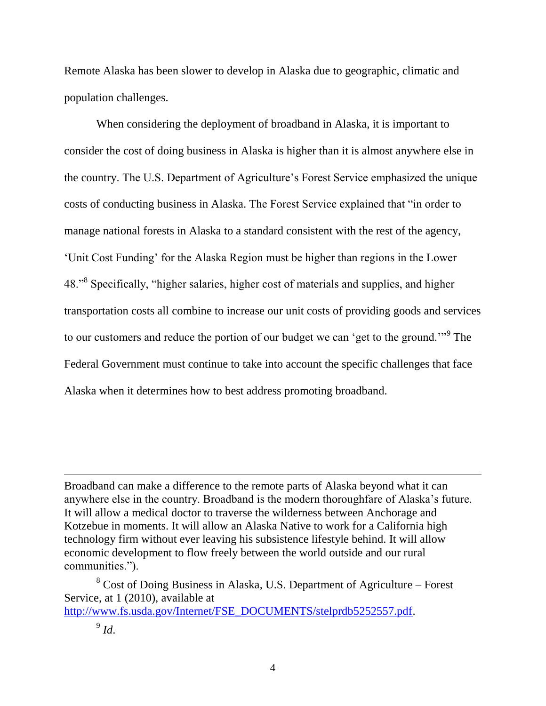Remote Alaska has been slower to develop in Alaska due to geographic, climatic and population challenges.

When considering the deployment of broadband in Alaska, it is important to consider the cost of doing business in Alaska is higher than it is almost anywhere else in the country. The U.S. Department of Agriculture's Forest Service emphasized the unique costs of conducting business in Alaska. The Forest Service explained that "in order to manage national forests in Alaska to a standard consistent with the rest of the agency, 'Unit Cost Funding' for the Alaska Region must be higher than regions in the Lower 48."<sup>8</sup> Specifically, "higher salaries, higher cost of materials and supplies, and higher transportation costs all combine to increase our unit costs of providing goods and services to our customers and reduce the portion of our budget we can 'get to the ground."<sup>9</sup> The Federal Government must continue to take into account the specific challenges that face Alaska when it determines how to best address promoting broadband.

 $\overline{a}$ 

Broadband can make a difference to the remote parts of Alaska beyond what it can anywhere else in the country. Broadband is the modern thoroughfare of Alaska's future. It will allow a medical doctor to traverse the wilderness between Anchorage and Kotzebue in moments. It will allow an Alaska Native to work for a California high technology firm without ever leaving his subsistence lifestyle behind. It will allow economic development to flow freely between the world outside and our rural communities.").

<sup>8</sup> Cost of Doing Business in Alaska, U.S. Department of Agriculture – Forest Service, at 1 (2010), available at [http://www.fs.usda.gov/Internet/FSE\\_DOCUMENTS/stelprdb5252557.pdf.](http://www.fs.usda.gov/Internet/FSE_DOCUMENTS/stelprdb5252557.pdf)

<sup>9</sup> *Id*.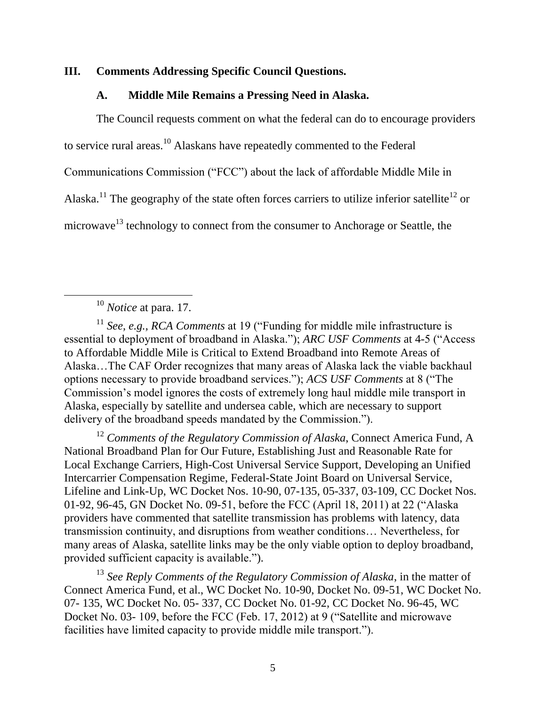#### **III. Comments Addressing Specific Council Questions.**

## **A. Middle Mile Remains a Pressing Need in Alaska.**

The Council requests comment on what the federal can do to encourage providers

to service rural areas.<sup>10</sup> Alaskans have repeatedly commented to the Federal

Communications Commission ("FCC") about the lack of affordable Middle Mile in

Alaska.<sup>11</sup> The geography of the state often forces carriers to utilize inferior satellite<sup>12</sup> or

microwave<sup>13</sup> technology to connect from the consumer to Anchorage or Seattle, the

 $\overline{a}$ 

<sup>12</sup> Comments of the Regulatory Commission of Alaska, Connect America Fund, A National Broadband Plan for Our Future, Establishing Just and Reasonable Rate for Local Exchange Carriers, High-Cost Universal Service Support, Developing an Unified Intercarrier Compensation Regime, Federal-State Joint Board on Universal Service, Lifeline and Link-Up, WC Docket Nos. 10-90, 07-135, 05-337, 03-109, CC Docket Nos. 01-92, 96-45, GN Docket No. 09-51, before the FCC (April 18, 2011) at 22 ("Alaska providers have commented that satellite transmission has problems with latency, data transmission continuity, and disruptions from weather conditions… Nevertheless, for many areas of Alaska, satellite links may be the only viable option to deploy broadband, provided sufficient capacity is available.").

<sup>13</sup> *See Reply Comments of the Regulatory Commission of Alaska*, in the matter of Connect America Fund, et al., WC Docket No. 10-90, Docket No. 09-51, WC Docket No. 07- 135, WC Docket No. 05- 337, CC Docket No. 01-92, CC Docket No. 96-45, WC Docket No. 03- 109, before the FCC (Feb. 17, 2012) at 9 ("Satellite and microwave facilities have limited capacity to provide middle mile transport.").

<sup>10</sup> *Notice* at para. 17.

<sup>11</sup> *See, e.g., RCA Comments* at 19 ("Funding for middle mile infrastructure is essential to deployment of broadband in Alaska."); *ARC USF Comments* at 4-5 ("Access to Affordable Middle Mile is Critical to Extend Broadband into Remote Areas of Alaska…The CAF Order recognizes that many areas of Alaska lack the viable backhaul options necessary to provide broadband services."); *ACS USF Comments* at 8 ("The Commission's model ignores the costs of extremely long haul middle mile transport in Alaska, especially by satellite and undersea cable, which are necessary to support delivery of the broadband speeds mandated by the Commission.").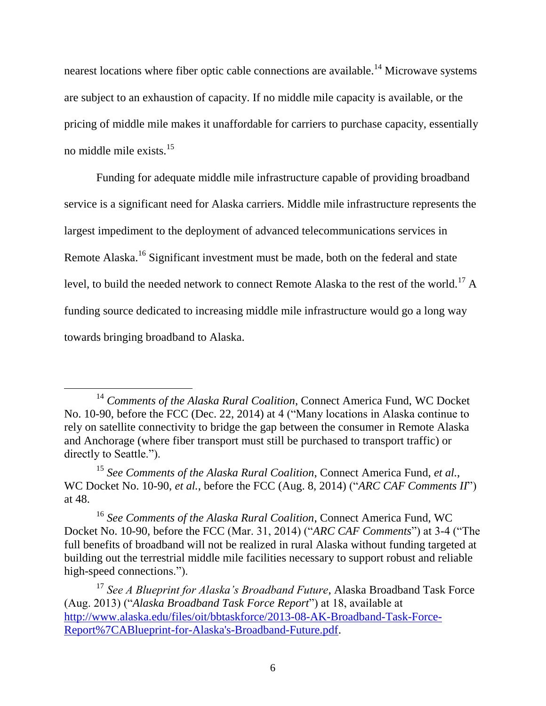nearest locations where fiber optic cable connections are available.<sup>14</sup> Microwave systems are subject to an exhaustion of capacity. If no middle mile capacity is available, or the pricing of middle mile makes it unaffordable for carriers to purchase capacity, essentially no middle mile exists.<sup>15</sup>

Funding for adequate middle mile infrastructure capable of providing broadband service is a significant need for Alaska carriers. Middle mile infrastructure represents the largest impediment to the deployment of advanced telecommunications services in Remote Alaska.<sup>16</sup> Significant investment must be made, both on the federal and state level, to build the needed network to connect Remote Alaska to the rest of the world.<sup>17</sup> A funding source dedicated to increasing middle mile infrastructure would go a long way towards bringing broadband to Alaska.

 $\overline{a}$ 

<sup>14</sup> *Comments of the Alaska Rural Coalition*, Connect America Fund, WC Docket No. 10-90, before the FCC (Dec. 22, 2014) at 4 ("Many locations in Alaska continue to rely on satellite connectivity to bridge the gap between the consumer in Remote Alaska and Anchorage (where fiber transport must still be purchased to transport traffic) or directly to Seattle.").

<sup>15</sup> *See Comments of the Alaska Rural Coalition*, Connect America Fund, *et al.*, WC Docket No. 10-90, *et al.*, before the FCC (Aug. 8, 2014) ("*ARC CAF Comments II*") at 48.

<sup>16</sup> *See Comments of the Alaska Rural Coalition*, Connect America Fund, WC Docket No. 10-90, before the FCC (Mar. 31, 2014) ("*ARC CAF Comments*") at 3-4 ("The full benefits of broadband will not be realized in rural Alaska without funding targeted at building out the terrestrial middle mile facilities necessary to support robust and reliable high-speed connections.").

<sup>17</sup> *See A Blueprint for Alaska's Broadband Future*, Alaska Broadband Task Force (Aug. 2013) ("*Alaska Broadband Task Force Report*") at 18, available at [http://www.alaska.edu/files/oit/bbtaskforce/2013-08-AK-Broadband-Task-Force-](http://www.alaska.edu/files/oit/bbtaskforce/2013-08-AK-Broadband-Task-Force-Report%7CABlueprint-for-Alaska)[Report%7CABlueprint-for-Alaska's-Broadband-Future.pdf.](http://www.alaska.edu/files/oit/bbtaskforce/2013-08-AK-Broadband-Task-Force-Report%7CABlueprint-for-Alaska)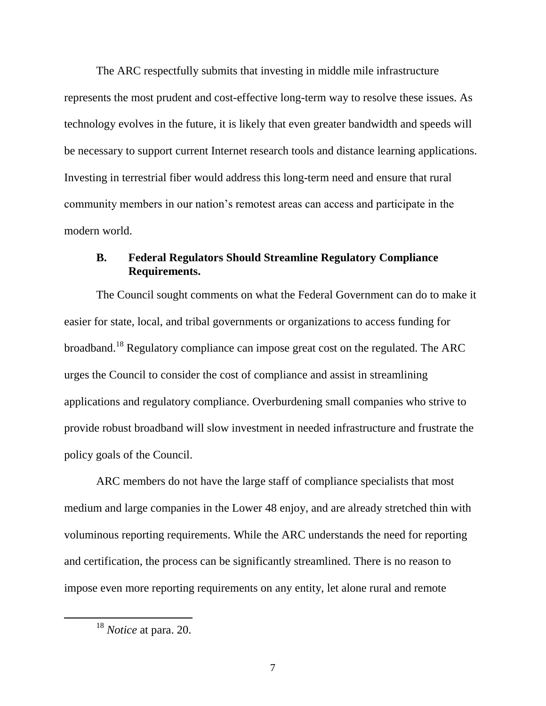The ARC respectfully submits that investing in middle mile infrastructure represents the most prudent and cost-effective long-term way to resolve these issues. As technology evolves in the future, it is likely that even greater bandwidth and speeds will be necessary to support current Internet research tools and distance learning applications. Investing in terrestrial fiber would address this long-term need and ensure that rural community members in our nation's remotest areas can access and participate in the modern world.

### **B. Federal Regulators Should Streamline Regulatory Compliance Requirements.**

The Council sought comments on what the Federal Government can do to make it easier for state, local, and tribal governments or organizations to access funding for broadband.<sup>18</sup> Regulatory compliance can impose great cost on the regulated. The ARC urges the Council to consider the cost of compliance and assist in streamlining applications and regulatory compliance. Overburdening small companies who strive to provide robust broadband will slow investment in needed infrastructure and frustrate the policy goals of the Council.

ARC members do not have the large staff of compliance specialists that most medium and large companies in the Lower 48 enjoy, and are already stretched thin with voluminous reporting requirements. While the ARC understands the need for reporting and certification, the process can be significantly streamlined. There is no reason to impose even more reporting requirements on any entity, let alone rural and remote

 $\overline{a}$ 

<sup>18</sup> *Notice* at para. 20.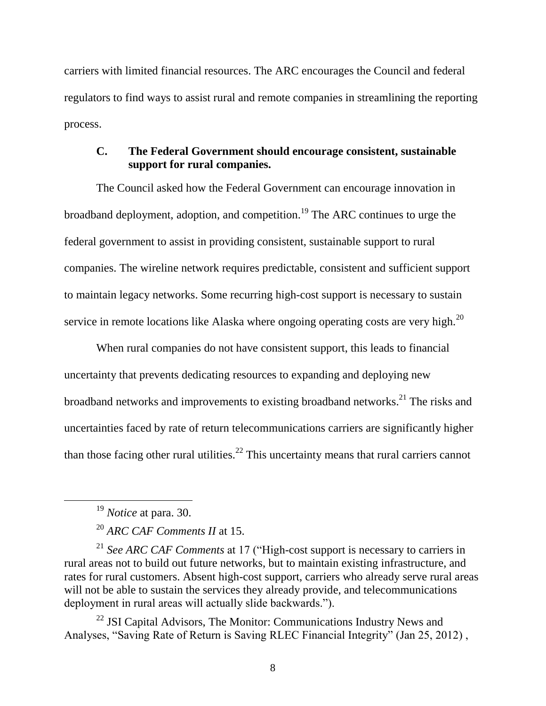carriers with limited financial resources. The ARC encourages the Council and federal regulators to find ways to assist rural and remote companies in streamlining the reporting process.

## **C. The Federal Government should encourage consistent, sustainable support for rural companies.**

The Council asked how the Federal Government can encourage innovation in broadband deployment, adoption, and competition.<sup>19</sup> The ARC continues to urge the federal government to assist in providing consistent, sustainable support to rural companies. The wireline network requires predictable, consistent and sufficient support to maintain legacy networks. Some recurring high-cost support is necessary to sustain service in remote locations like Alaska where ongoing operating costs are very high.<sup>20</sup>

When rural companies do not have consistent support, this leads to financial uncertainty that prevents dedicating resources to expanding and deploying new broadband networks and improvements to existing broadband networks.<sup>21</sup> The risks and uncertainties faced by rate of return telecommunications carriers are significantly higher than those facing other rural utilities.<sup>22</sup> This uncertainty means that rural carriers cannot

 $\overline{a}$ 

<sup>21</sup> *See ARC CAF Comments* at 17 ("High-cost support is necessary to carriers in rural areas not to build out future networks, but to maintain existing infrastructure, and rates for rural customers. Absent high-cost support, carriers who already serve rural areas will not be able to sustain the services they already provide, and telecommunications deployment in rural areas will actually slide backwards.").

 $22$  JSI Capital Advisors, The Monitor: Communications Industry News and Analyses, "Saving Rate of Return is Saving RLEC Financial Integrity" (Jan 25, 2012) ,

<sup>19</sup> *Notice* at para. 30.

<sup>20</sup> *ARC CAF Comments II* at 15.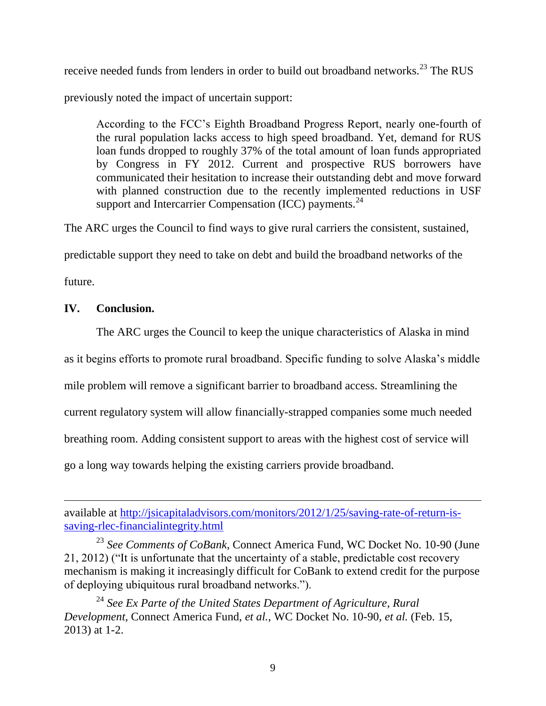receive needed funds from lenders in order to build out broadband networks.<sup>23</sup> The RUS

previously noted the impact of uncertain support:

According to the FCC's Eighth Broadband Progress Report, nearly one-fourth of the rural population lacks access to high speed broadband. Yet, demand for RUS loan funds dropped to roughly 37% of the total amount of loan funds appropriated by Congress in FY 2012. Current and prospective RUS borrowers have communicated their hesitation to increase their outstanding debt and move forward with planned construction due to the recently implemented reductions in USF support and Intercarrier Compensation (ICC) payments.<sup>24</sup>

The ARC urges the Council to find ways to give rural carriers the consistent, sustained,

predictable support they need to take on debt and build the broadband networks of the

future.

 $\overline{a}$ 

## **IV. Conclusion.**

The ARC urges the Council to keep the unique characteristics of Alaska in mind

as it begins efforts to promote rural broadband. Specific funding to solve Alaska's middle

mile problem will remove a significant barrier to broadband access. Streamlining the

current regulatory system will allow financially-strapped companies some much needed

breathing room. Adding consistent support to areas with the highest cost of service will

go a long way towards helping the existing carriers provide broadband.

<sup>24</sup> *See Ex Parte of the United States Department of Agriculture, Rural Development*, Connect America Fund, *et al.*, WC Docket No. 10-90, *et al.* (Feb. 15, 2013) at 1-2.

available at [http://jsicapitaladvisors.com/monitors/2012/1/25/saving-rate-of-return-is](http://jsicapitaladvisors.com/monitors/2012/1/25/saving-rate-of-return-is-saving-rlec-financialintegrity.html)[saving-rlec-financialintegrity.html](http://jsicapitaladvisors.com/monitors/2012/1/25/saving-rate-of-return-is-saving-rlec-financialintegrity.html)

<sup>23</sup> *See Comments of CoBank*, Connect America Fund, WC Docket No. 10-90 (June 21, 2012) ("It is unfortunate that the uncertainty of a stable, predictable cost recovery mechanism is making it increasingly difficult for CoBank to extend credit for the purpose of deploying ubiquitous rural broadband networks.").